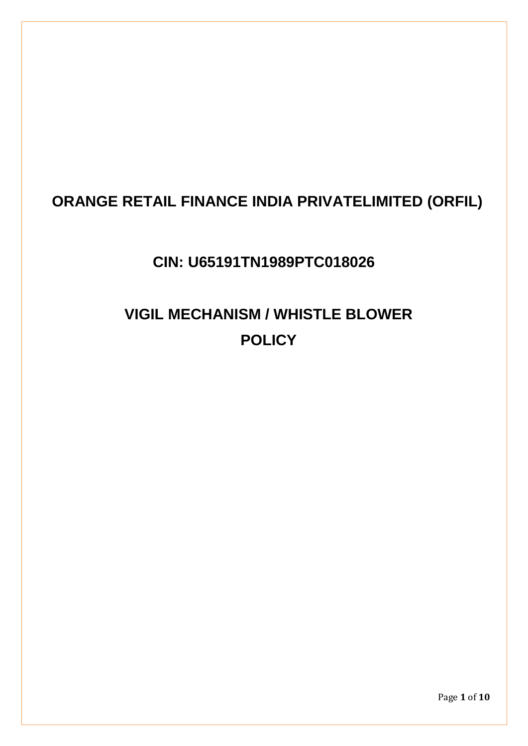# **ORANGE RETAIL FINANCE INDIA PRIVATELIMITED (ORFIL)**

# **CIN: U65191TN1989PTC018026**

# **VIGIL MECHANISM / WHISTLE BLOWER POLICY**

Page **1** of **10**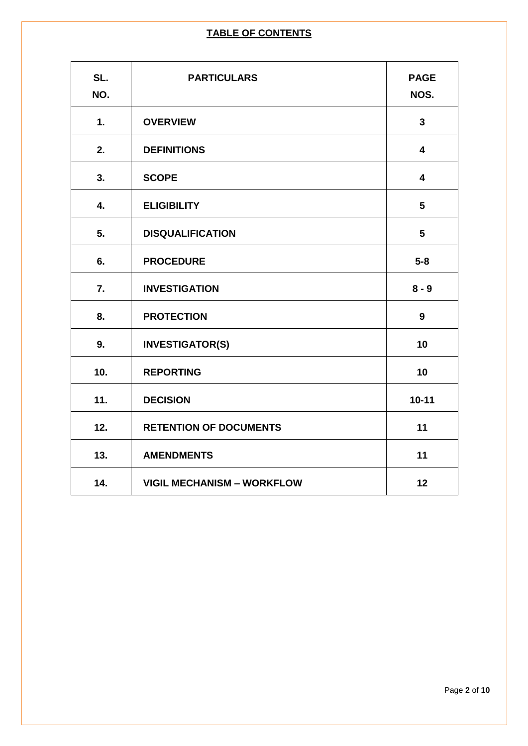# **TABLE OF CONTENTS**

| SL.<br>NO. | <b>PARTICULARS</b>                | <b>PAGE</b><br>NOS.     |
|------------|-----------------------------------|-------------------------|
| 1.         | <b>OVERVIEW</b>                   | $\overline{\mathbf{3}}$ |
| 2.         | <b>DEFINITIONS</b>                | $\overline{\mathbf{4}}$ |
| 3.         | <b>SCOPE</b>                      | $\overline{\mathbf{4}}$ |
| 4.         | <b>ELIGIBILITY</b>                | 5                       |
| 5.         | <b>DISQUALIFICATION</b>           | 5                       |
| 6.         | <b>PROCEDURE</b>                  | $5-8$                   |
| 7.         | <b>INVESTIGATION</b>              | $8 - 9$                 |
| 8.         | <b>PROTECTION</b>                 | 9                       |
| 9.         | <b>INVESTIGATOR(S)</b>            | 10                      |
| 10.        | <b>REPORTING</b>                  | 10                      |
| 11.        | <b>DECISION</b>                   | $10 - 11$               |
| 12.        | <b>RETENTION OF DOCUMENTS</b>     | 11                      |
| 13.        | <b>AMENDMENTS</b>                 | 11                      |
| 14.        | <b>VIGIL MECHANISM - WORKFLOW</b> | 12                      |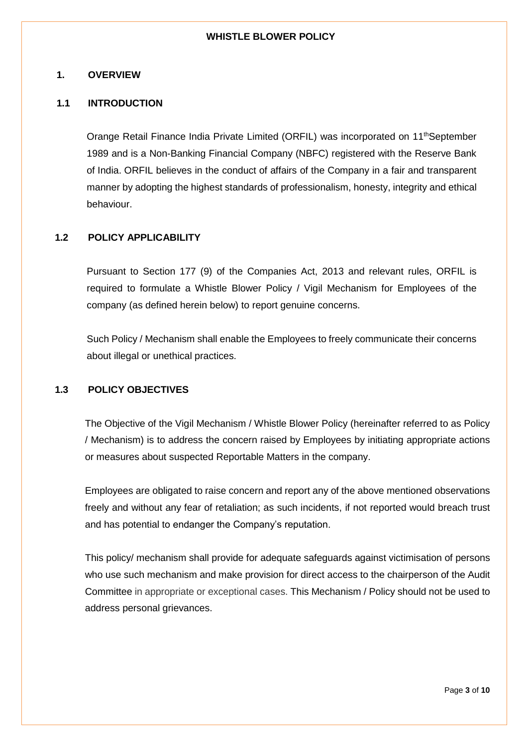#### **WHISTLE BLOWER POLICY**

## **1. OVERVIEW**

## **1.1 INTRODUCTION**

Orange Retail Finance India Private Limited (ORFIL) was incorporated on 11<sup>th</sup>September 1989 and is a Non-Banking Financial Company (NBFC) registered with the Reserve Bank of India. ORFIL believes in the conduct of affairs of the Company in a fair and transparent manner by adopting the highest standards of professionalism, honesty, integrity and ethical behaviour.

## **1.2 POLICY APPLICABILITY**

Pursuant to Section 177 (9) of the Companies Act, 2013 and relevant rules, ORFIL is required to formulate a Whistle Blower Policy / Vigil Mechanism for Employees of the company (as defined herein below) to report genuine concerns.

Such Policy / Mechanism shall enable the Employees to freely communicate their concerns about illegal or unethical practices.

# **1.3 POLICY OBJECTIVES**

The Objective of the Vigil Mechanism / Whistle Blower Policy (hereinafter referred to as Policy / Mechanism) is to address the concern raised by Employees by initiating appropriate actions or measures about suspected Reportable Matters in the company.

Employees are obligated to raise concern and report any of the above mentioned observations freely and without any fear of retaliation; as such incidents, if not reported would breach trust and has potential to endanger the Company's reputation.

This policy/ mechanism shall provide for adequate safeguards against victimisation of persons who use such mechanism and make provision for direct access to the chairperson of the Audit Committee in appropriate or exceptional cases. This Mechanism / Policy should not be used to address personal grievances.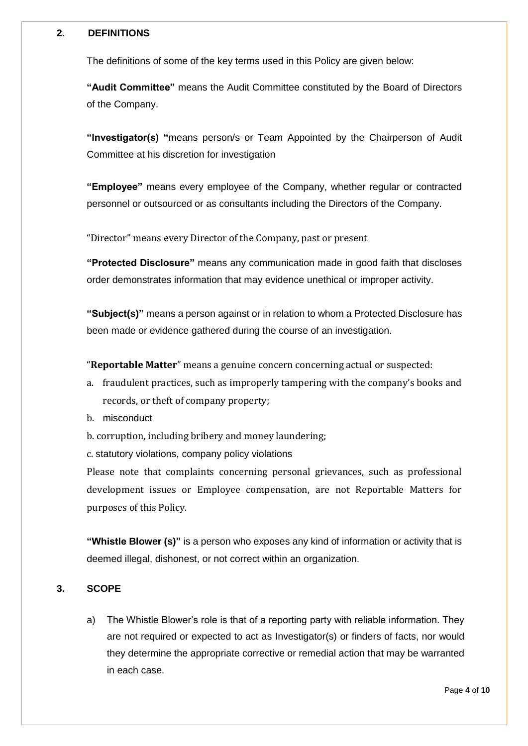## **2. DEFINITIONS**

The definitions of some of the key terms used in this Policy are given below:

**"Audit Committee"** means the Audit Committee constituted by the Board of Directors of the Company.

**"Investigator(s) "**means person/s or Team Appointed by the Chairperson of Audit Committee at his discretion for investigation

**"Employee"** means every employee of the Company, whether regular or contracted personnel or outsourced or as consultants including the Directors of the Company.

"Director" means every Director of the Company, past or present

**"Protected Disclosure"** means any communication made in good faith that discloses order demonstrates information that may evidence unethical or improper activity.

**"Subject(s)"** means a person against or in relation to whom a Protected Disclosure has been made or evidence gathered during the course of an investigation.

"**Reportable Matter**" means a genuine concern concerning actual or suspected:

- a. fraudulent practices, such as improperly tampering with the company's books and records, or theft of company property;
- b. misconduct
- b. corruption, including bribery and money laundering;

c. statutory violations, company policy violations

Please note that complaints concerning personal grievances, such as professional development issues or Employee compensation, are not Reportable Matters for purposes of this Policy.

**"Whistle Blower (s)"** is a person who exposes any kind of information or activity that is deemed illegal, dishonest, or not correct within an organization.

# **3. SCOPE**

a) The Whistle Blower's role is that of a reporting party with reliable information. They are not required or expected to act as Investigator(s) or finders of facts, nor would they determine the appropriate corrective or remedial action that may be warranted in each case.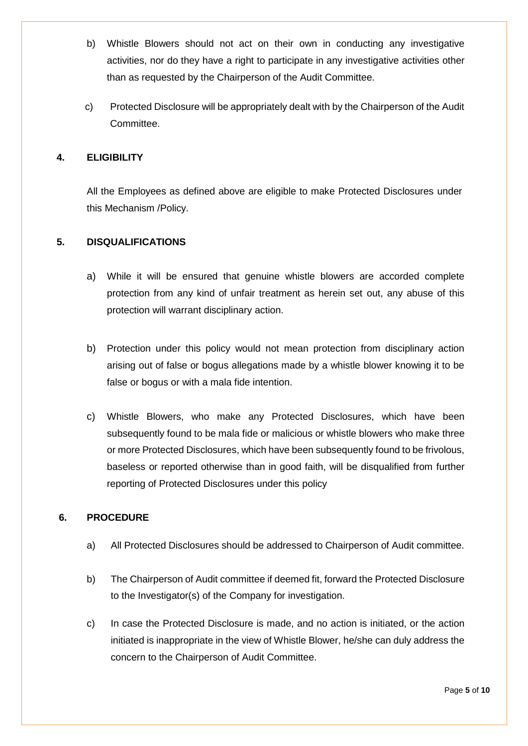- b) Whistle Blowers should not act on their own in conducting any investigative activities, nor do they have a right to participate in any investigative activities other than as requested by the Chairperson of the Audit Committee.
- c) Protected Disclosure will be appropriately dealt with by the Chairperson of the Audit Committee.

# **4. ELIGIBILITY**

All the Employees as defined above are eligible to make Protected Disclosures under this Mechanism /Policy.

# **5. DISQUALIFICATIONS**

- a) While it will be ensured that genuine whistle blowers are accorded complete protection from any kind of unfair treatment as herein set out, any abuse of this protection will warrant disciplinary action.
- b) Protection under this policy would not mean protection from disciplinary action arising out of false or bogus allegations made by a whistle blower knowing it to be false or bogus or with a mala fide intention.
- c) Whistle Blowers, who make any Protected Disclosures, which have been subsequently found to be mala fide or malicious or whistle blowers who make three or more Protected Disclosures, which have been subsequently found to be frivolous, baseless or reported otherwise than in good faith, will be disqualified from further reporting of Protected Disclosures under this policy

## **6. PROCEDURE**

- a) All Protected Disclosures should be addressed to Chairperson of Audit committee.
- b) The Chairperson of Audit committee if deemed fit, forward the Protected Disclosure to the Investigator(s) of the Company for investigation.
- c) In case the Protected Disclosure is made, and no action is initiated, or the action initiated is inappropriate in the view of Whistle Blower, he/she can duly address the concern to the Chairperson of Audit Committee.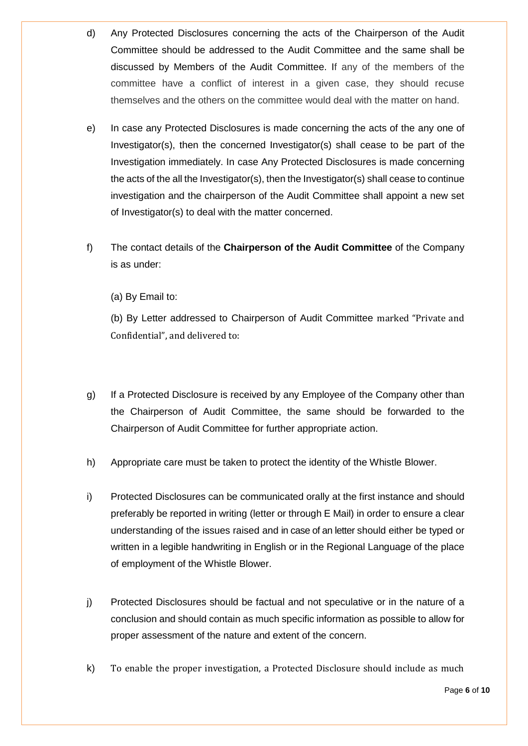- d) Any Protected Disclosures concerning the acts of the Chairperson of the Audit Committee should be addressed to the Audit Committee and the same shall be discussed by Members of the Audit Committee. If any of the members of the committee have a conflict of interest in a given case, they should recuse themselves and the others on the committee would deal with the matter on hand.
- e) In case any Protected Disclosures is made concerning the acts of the any one of Investigator(s), then the concerned Investigator(s) shall cease to be part of the Investigation immediately. In case Any Protected Disclosures is made concerning the acts of the all the Investigator(s), then the Investigator(s) shall cease to continue investigation and the chairperson of the Audit Committee shall appoint a new set of Investigator(s) to deal with the matter concerned.
- f) The contact details of the **Chairperson of the Audit Committee** of the Company is as under:

(a) By Email to:

(b) By Letter addressed to Chairperson of Audit Committee marked "Private and Confidential", and delivered to:

- g) If a Protected Disclosure is received by any Employee of the Company other than the Chairperson of Audit Committee, the same should be forwarded to the Chairperson of Audit Committee for further appropriate action.
- h) Appropriate care must be taken to protect the identity of the Whistle Blower.
- i) Protected Disclosures can be communicated orally at the first instance and should preferably be reported in writing (letter or through E Mail) in order to ensure a clear understanding of the issues raised and in case of an letter should either be typed or written in a legible handwriting in English or in the Regional Language of the place of employment of the Whistle Blower.
- j) Protected Disclosures should be factual and not speculative or in the nature of a conclusion and should contain as much specific information as possible to allow for proper assessment of the nature and extent of the concern.
- k) To enable the proper investigation, a Protected Disclosure should include as much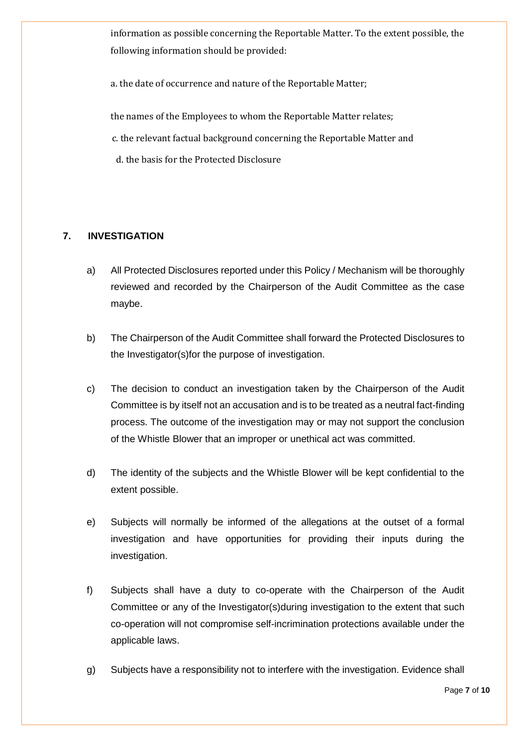information as possible concerning the Reportable Matter. To the extent possible, the following information should be provided:

a. the date of occurrence and nature of the Reportable Matter;

the names of the Employees to whom the Reportable Matter relates;

c. the relevant factual background concerning the Reportable Matter and

d. the basis for the Protected Disclosure

# **7. INVESTIGATION**

- a) All Protected Disclosures reported under this Policy / Mechanism will be thoroughly reviewed and recorded by the Chairperson of the Audit Committee as the case maybe.
- b) The Chairperson of the Audit Committee shall forward the Protected Disclosures to the Investigator(s)for the purpose of investigation.
- c) The decision to conduct an investigation taken by the Chairperson of the Audit Committee is by itself not an accusation and is to be treated as a neutral fact-finding process. The outcome of the investigation may or may not support the conclusion of the Whistle Blower that an improper or unethical act was committed.
- d) The identity of the subjects and the Whistle Blower will be kept confidential to the extent possible.
- e) Subjects will normally be informed of the allegations at the outset of a formal investigation and have opportunities for providing their inputs during the investigation.
- f) Subjects shall have a duty to co-operate with the Chairperson of the Audit Committee or any of the Investigator(s)during investigation to the extent that such co-operation will not compromise self-incrimination protections available under the applicable laws.
- g) Subjects have a responsibility not to interfere with the investigation. Evidence shall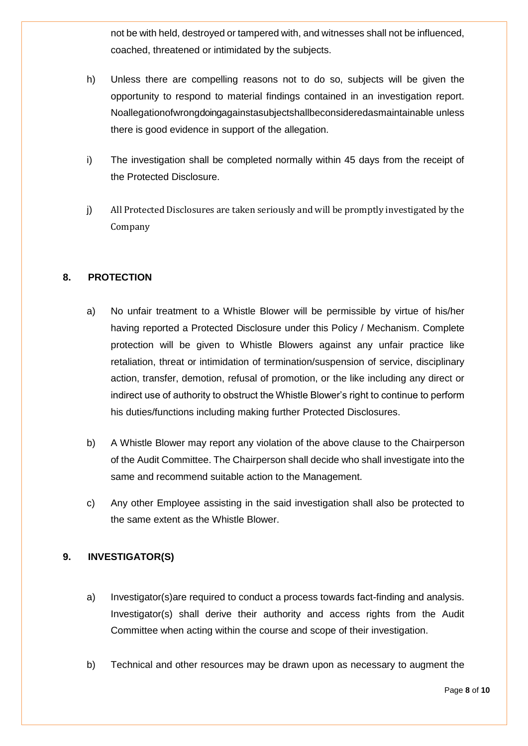not be with held, destroyed or tampered with, and witnesses shall not be influenced, coached, threatened or intimidated by the subjects.

- h) Unless there are compelling reasons not to do so, subjects will be given the opportunity to respond to material findings contained in an investigation report. Noallegationofwrongdoingagainstasubjectshallbeconsideredasmaintainable unless there is good evidence in support of the allegation.
- i) The investigation shall be completed normally within 45 days from the receipt of the Protected Disclosure.
- j) All Protected Disclosures are taken seriously and will be promptly investigated by the Company

# **8. PROTECTION**

- a) No unfair treatment to a Whistle Blower will be permissible by virtue of his/her having reported a Protected Disclosure under this Policy / Mechanism. Complete protection will be given to Whistle Blowers against any unfair practice like retaliation, threat or intimidation of termination/suspension of service, disciplinary action, transfer, demotion, refusal of promotion, or the like including any direct or indirect use of authority to obstruct the Whistle Blower's right to continue to perform his duties/functions including making further Protected Disclosures.
- b) A Whistle Blower may report any violation of the above clause to the Chairperson of the Audit Committee. The Chairperson shall decide who shall investigate into the same and recommend suitable action to the Management.
- c) Any other Employee assisting in the said investigation shall also be protected to the same extent as the Whistle Blower.

## **9. INVESTIGATOR(S)**

- a) Investigator(s)are required to conduct a process towards fact-finding and analysis. Investigator(s) shall derive their authority and access rights from the Audit Committee when acting within the course and scope of their investigation.
- b) Technical and other resources may be drawn upon as necessary to augment the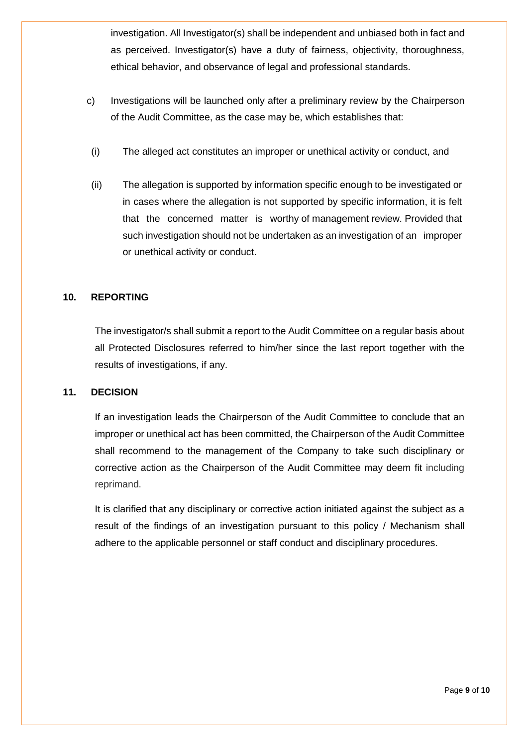investigation. All Investigator(s) shall be independent and unbiased both in fact and as perceived. Investigator(s) have a duty of fairness, objectivity, thoroughness, ethical behavior, and observance of legal and professional standards.

- c) Investigations will be launched only after a preliminary review by the Chairperson of the Audit Committee, as the case may be, which establishes that:
- (i) The alleged act constitutes an improper or unethical activity or conduct, and
- (ii) The allegation is supported by information specific enough to be investigated or in cases where the allegation is not supported by specific information, it is felt that the concerned matter is worthy of management review. Provided that such investigation should not be undertaken as an investigation of an improper or unethical activity or conduct.

## **10. REPORTING**

The investigator/s shall submit a report to the Audit Committee on a regular basis about all Protected Disclosures referred to him/her since the last report together with the results of investigations, if any.

#### **11. DECISION**

If an investigation leads the Chairperson of the Audit Committee to conclude that an improper or unethical act has been committed, the Chairperson of the Audit Committee shall recommend to the management of the Company to take such disciplinary or corrective action as the Chairperson of the Audit Committee may deem fit including reprimand.

It is clarified that any disciplinary or corrective action initiated against the subject as a result of the findings of an investigation pursuant to this policy / Mechanism shall adhere to the applicable personnel or staff conduct and disciplinary procedures.